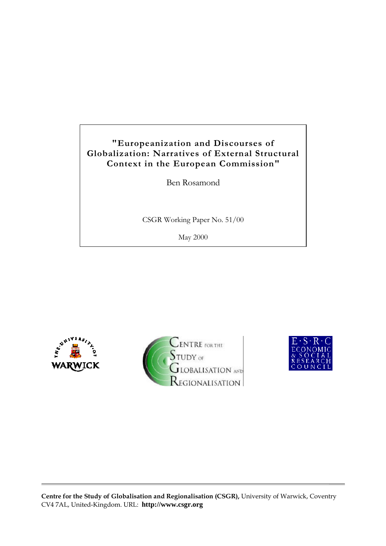# **"Europeanization and Discourses of Globalization: Narratives of External Structural Context in the European Commission"**

Ben Rosamond

CSGR Working Paper No. 51/00

May 2000







**Centre for the Study of Globalisation and Regionalisation (CSGR),** University of Warwick, Coventry CV4 7AL, United-Kingdom. URL: **http://www.csgr.org**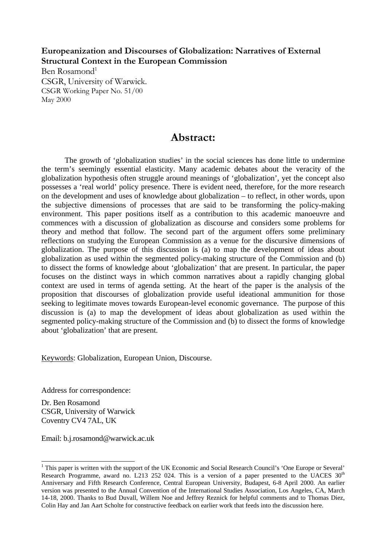**Europeanization and Discourses of Globalization: Narratives of External Structural Context in the European Commission**

Ben Rosamond<sup>1</sup> CSGR, University of Warwick. CSGR Working Paper No. 51/00 May 2000

## **Abstract:**

The growth of 'globalization studies' in the social sciences has done little to undermine the term's seemingly essential elasticity. Many academic debates about the veracity of the globalization hypothesis often struggle around meanings of 'globalization', yet the concept also possesses a 'real world' policy presence. There is evident need, therefore, for the more research on the development and uses of knowledge about globalization – to reflect, in other words, upon the subjective dimensions of processes that are said to be transforming the policy-making environment. This paper positions itself as a contribution to this academic manoeuvre and commences with a discussion of globalization as discourse and considers some problems for theory and method that follow. The second part of the argument offers some preliminary reflections on studying the European Commission as a venue for the discursive dimensions of globalization. The purpose of this discussion is (a) to map the development of ideas about globalization as used within the segmented policy-making structure of the Commission and (b) to dissect the forms of knowledge about 'globalization' that are present. In particular, the paper focuses on the distinct ways in which common narratives about a rapidly changing global context are used in terms of agenda setting. At the heart of the paper is the analysis of the proposition that discourses of globalization provide useful ideational ammunition for those seeking to legitimate moves towards European-level economic governance. The purpose of this discussion is (a) to map the development of ideas about globalization as used within the segmented policy-making structure of the Commission and (b) to dissect the forms of knowledge about 'globalization' that are present.

Keywords: Globalization, European Union, Discourse.

Address for correspondence:

Dr. Ben Rosamond CSGR, University of Warwick Coventry CV4 7AL, UK

 $\overline{a}$ 

Email: b.j.rosamond@warwick.ac.uk

<sup>&</sup>lt;sup>1</sup> This paper is written with the support of the UK Economic and Social Research Council's 'One Europe or Several' Research Programme, award no. L213 252 024. This is a version of a paper presented to the UACES  $30<sup>th</sup>$ Anniversary and Fifth Research Conference, Central European University, Budapest, 6-8 April 2000. An earlier version was presented to the Annual Convention of the International Studies Association, Los Angeles, CA, March 14-18, 2000. Thanks to Bud Duvall, Willem Noe and Jeffrey Reznick for helpful comments and to Thomas Diez, Colin Hay and Jan Aart Scholte for constructive feedback on earlier work that feeds into the discussion here.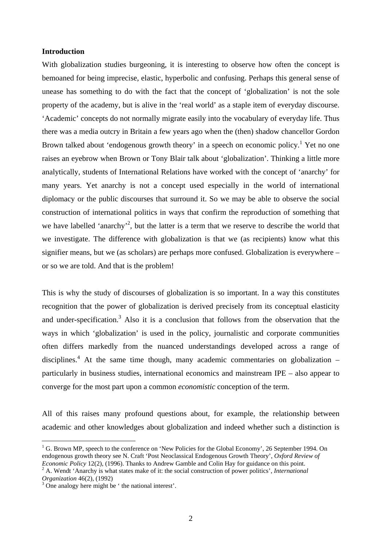## **Introduction**

With globalization studies burgeoning, it is interesting to observe how often the concept is bemoaned for being imprecise, elastic, hyperbolic and confusing. Perhaps this general sense of unease has something to do with the fact that the concept of 'globalization' is not the sole property of the academy, but is alive in the 'real world' as a staple item of everyday discourse. 'Academic' concepts do not normally migrate easily into the vocabulary of everyday life. Thus there was a media outcry in Britain a few years ago when the (then) shadow chancellor Gordon Brown talked about 'endogenous growth theory' in a speech on economic policy.<sup>1</sup> Yet no one raises an eyebrow when Brown or Tony Blair talk about 'globalization'. Thinking a little more analytically, students of International Relations have worked with the concept of 'anarchy' for many years. Yet anarchy is not a concept used especially in the world of international diplomacy or the public discourses that surround it. So we may be able to observe the social construction of international politics in ways that confirm the reproduction of something that we have labelled 'anarchy'<sup>2</sup>, but the latter is a term that we reserve to describe the world that we investigate. The difference with globalization is that we (as recipients) know what this signifier means, but we (as scholars) are perhaps more confused. Globalization is everywhere – or so we are told. And that is the problem!

This is why the study of discourses of globalization is so important. In a way this constitutes recognition that the power of globalization is derived precisely from its conceptual elasticity and under-specification.<sup>3</sup> Also it is a conclusion that follows from the observation that the ways in which 'globalization' is used in the policy, journalistic and corporate communities often differs markedly from the nuanced understandings developed across a range of disciplines.<sup>4</sup> At the same time though, many academic commentaries on globalization  $$ particularly in business studies, international economics and mainstream IPE – also appear to converge for the most part upon a common *economistic* conception of the term.

All of this raises many profound questions about, for example, the relationship between academic and other knowledges about globalization and indeed whether such a distinction is

<sup>&</sup>lt;sup>1</sup> G. Brown MP, speech to the conference on 'New Policies for the Global Economy', 26 September 1994. On endogenous growth theory see N. Craft 'Post Neoclassical Endogenous Growth Theory', *Oxford Review of Economic Policy* 12(2), (1996). Thanks to Andrew Gamble and Colin Hay for guidance on this point.

<sup>2</sup> A. Wendt 'Anarchy is what states make of it: the social construction of power politics', *International Organization* 46(2), (1992)

<sup>&</sup>lt;sup>3</sup> One analogy here might be 'the national interest'.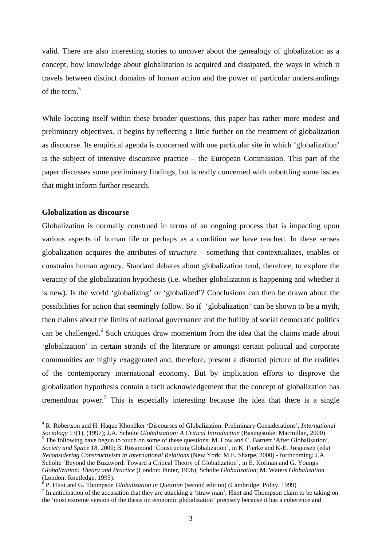valid. There are also interesting stories to uncover about the genealogy of globalization as a concept, how knowledge about globalization is acquired and dissipated, the ways in which it travels between distinct domains of human action and the power of particular understandings of the term  $^5$ 

While locating itself within these broader questions, this paper has rather more modest and preliminary objectives. It begins by reflecting a little further on the treatment of globalization as discourse. Its empirical agenda is concerned with one particular site in which 'globalization' is the subject of intensive discursive practice – the European Commission. This part of the paper discusses some preliminary findings, but is really concerned with unbottling some issues that might inform further research.

## **Globalization as discourse**

<u>.</u>

Globalization is normally construed in terms of an ongoing process that is impacting upon various aspects of human life or perhaps as a condition we have reached. In these senses globalization acquires the attributes of *structure* – something that contextualizes, enables or constrains human agency. Standard debates about globalization tend, therefore, to explore the veracity of the globalization hypothesis (i.e. whether globalization is happening and whether it is new). Is the world 'globalizing' or 'globalized'? Conclusions can then be drawn about the possibilities for action that seemingly follow. So if 'globalization' can be shown to be a myth, then claims about the limits of national governance and the futility of social democratic politics can be challenged.<sup>6</sup> Such critiques draw momentum from the idea that the claims made about 'globalization' in certain strands of the literature or amongst certain political and corporate communities are highly exaggerated and, therefore, present a distorted picture of the realities of the contemporary international economy. But by implication efforts to disprove the globalization hypothesis contain a tacit acknowledgement that the concept of globalization has tremendous power.<sup>7</sup> This is especially interesting because the idea that there is a single

<sup>4</sup> R. Robertson and H. Haque Khondker 'Discourses of Globalization: Preliminary Considerations', *International Sociology* 13(1), (1997); J.A. Scholte *Globalization: A Critical Introduction* (Basingstoke: Macmillan, 2000)

<sup>&</sup>lt;sup>5</sup> The following have begun to touch on some of these questions: M. Low and C. Barnett 'After Globalisation', *Society and Space* 18, 2000; B. Rosamond 'Constructing Globalization', in K. Fierke and K-E. Jørgensen (eds) *Reconsidering Constructivism in International Relations* (New York: M.E. Sharpe, 2000) - forthcoming; J.A. Scholte 'Beyond the Buzzword: Toward a Critical Theory of Globalization', in E. Kofman and G. Youngs *Globalization: Theory and Practice* (London: Pinter, 1996); Scholte *Globalization*; M. Waters *Globalization* (London: Routledge, 1995).

<sup>6</sup> P. Hirst and G. Thompson *Globalization in Question* (second edition) (Cambridge: Polity, 1999)

 $<sup>7</sup>$  In anticipation of the accusation that they are attacking a 'straw man', Hirst and Thompson claim to be taking on</sup> the 'most extreme version of the thesis on economic globalization' precisely because it has a coherence and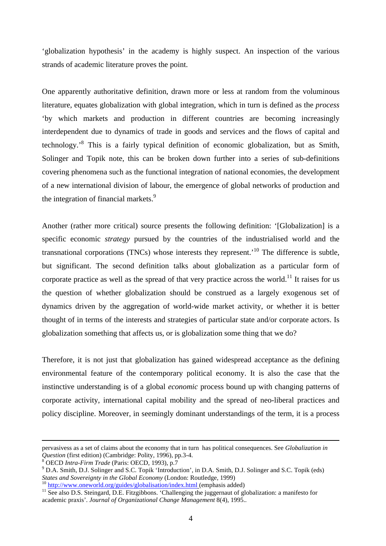'globalization hypothesis' in the academy is highly suspect. An inspection of the various strands of academic literature proves the point.

One apparently authoritative definition, drawn more or less at random from the voluminous literature, equates globalization with global integration, which in turn is defined as the *process* 'by which markets and production in different countries are becoming increasingly interdependent due to dynamics of trade in goods and services and the flows of capital and technology.<sup>8</sup> This is a fairly typical definition of economic globalization, but as Smith, Solinger and Topik note, this can be broken down further into a series of sub-definitions covering phenomena such as the functional integration of national economies, the development of a new international division of labour, the emergence of global networks of production and the integration of financial markets.<sup>9</sup>

Another (rather more critical) source presents the following definition: '[Globalization] is a specific economic *strategy* pursued by the countries of the industrialised world and the transnational corporations (TNCs) whose interests they represent.'<sup>10</sup> The difference is subtle, but significant. The second definition talks about globalization as a particular form of corporate practice as well as the spread of that very practice across the world.<sup>11</sup> It raises for us the question of whether globalization should be construed as a largely exogenous set of dynamics driven by the aggregation of world-wide market activity, or whether it is better thought of in terms of the interests and strategies of particular state and/or corporate actors. Is globalization something that affects us, or is globalization some thing that we do?

Therefore, it is not just that globalization has gained widespread acceptance as the defining environmental feature of the contemporary political economy. It is also the case that the instinctive understanding is of a global *economic* process bound up with changing patterns of corporate activity, international capital mobility and the spread of neo-liberal practices and policy discipline. Moreover, in seemingly dominant understandings of the term, it is a process

pervasivess as a set of claims about the economy that in turn has political consequences. See *Globalization in Question* (first edition) (Cambridge: Polity, 1996), pp.3-4.

OECD *Intra-Firm Trade* (Paris: OECD, 1993), p.7

<sup>&</sup>lt;sup>9</sup> D.A. Smith, D.J. Solinger and S.C. Topik 'Introduction', in D.A. Smith, D.J. Solinger and S.C. Topik (eds) *States and Sovereignty in the Global Economy* (London: Routledge, 1999)

<sup>&</sup>lt;sup>10</sup> http://www.oneworld.org/guides/globalisation/index.html (emphasis added)

<sup>&</sup>lt;sup>11</sup> See also D.S. Steingard, D.E. Fitzgibbons. 'Challenging the juggernaut of globalization: a manifesto for academic praxis'. *Journal of Organizational Change Management* 8(4), 1995..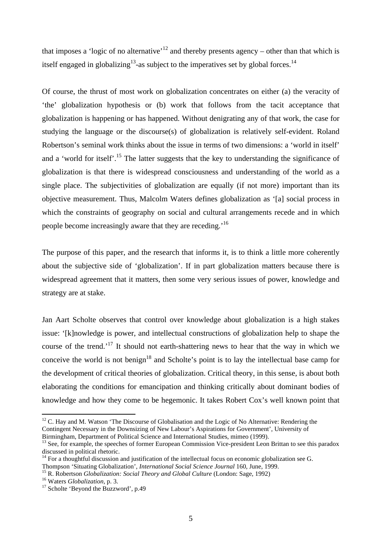that imposes a 'logic of no alternative'<sup>12</sup> and thereby presents agency – other than that which is itself engaged in globalizing<sup>13</sup>-as subject to the imperatives set by global forces.<sup>14</sup>

Of course, the thrust of most work on globalization concentrates on either (a) the veracity of 'the' globalization hypothesis or (b) work that follows from the tacit acceptance that globalization is happening or has happened. Without denigrating any of that work, the case for studying the language or the discourse(s) of globalization is relatively self-evident. Roland Robertson's seminal work thinks about the issue in terms of two dimensions: a 'world in itself' and a 'world for itself'.<sup>15</sup> The latter suggests that the key to understanding the significance of globalization is that there is widespread consciousness and understanding of the world as a single place. The subjectivities of globalization are equally (if not more) important than its objective measurement. Thus, Malcolm Waters defines globalization as '[a] social process in which the constraints of geography on social and cultural arrangements recede and in which people become increasingly aware that they are receding.'<sup>16</sup>

The purpose of this paper, and the research that informs it, is to think a little more coherently about the subjective side of 'globalization'. If in part globalization matters because there is widespread agreement that it matters, then some very serious issues of power, knowledge and strategy are at stake.

Jan Aart Scholte observes that control over knowledge about globalization is a high stakes issue: '[k]nowledge is power, and intellectual constructions of globalization help to shape the course of the trend.<sup>'17</sup> It should not earth-shattering news to hear that the way in which we conceive the world is not benign<sup>18</sup> and Scholte's point is to lay the intellectual base camp for the development of critical theories of globalization. Critical theory, in this sense, is about both elaborating the conditions for emancipation and thinking critically about dominant bodies of knowledge and how they come to be hegemonic. It takes Robert Cox's well known point that

 $12$  C. Hay and M. Watson 'The Discourse of Globalisation and the Logic of No Alternative: Rendering the Contingent Necessary in the Downsizing of New Labour's Aspirations for Government', University of Birmingham, Department of Political Science and International Studies, mimeo (1999).

<sup>&</sup>lt;sup>13</sup> See, for example, the speeches of former European Commission Vice-president Leon Brittan to see this paradox discussed in political rhetoric.

<sup>&</sup>lt;sup>14</sup> For a thoughtful discussion and justification of the intellectual focus on economic globalization see G. Thompson 'Situating Globalization', *International Social Science Journal* 160, June, 1999.

<sup>15</sup> R. Robertson *Globalization: Social Theory and Global Culture* (London: Sage, 1992)

<sup>16</sup> Waters *Globalization*, p. 3.

<sup>&</sup>lt;sup>17</sup> Scholte 'Beyond the Buzzword', p.49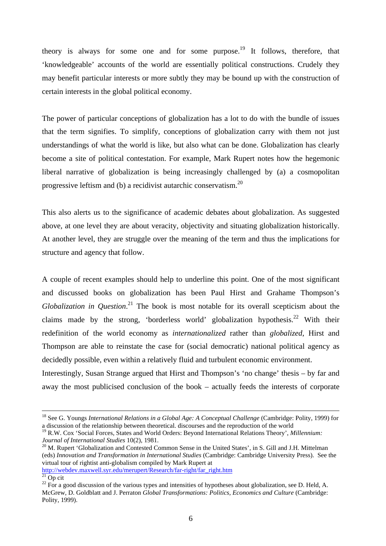theory is always for some one and for some purpose.<sup>19</sup> It follows, therefore, that 'knowledgeable' accounts of the world are essentially political constructions. Crudely they may benefit particular interests or more subtly they may be bound up with the construction of certain interests in the global political economy.

The power of particular conceptions of globalization has a lot to do with the bundle of issues that the term signifies. To simplify, conceptions of globalization carry with them not just understandings of what the world is like, but also what can be done. Globalization has clearly become a site of political contestation. For example, Mark Rupert notes how the hegemonic liberal narrative of globalization is being increasingly challenged by (a) a cosmopolitan progressive leftism and (b) a recidivist autarchic conservatism.<sup>20</sup>

This also alerts us to the significance of academic debates about globalization. As suggested above, at one level they are about veracity, objectivity and situating globalization historically. At another level, they are struggle over the meaning of the term and thus the implications for structure and agency that follow.

A couple of recent examples should help to underline this point. One of the most significant and discussed books on globalization has been Paul Hirst and Grahame Thompson's *Globalization in Question*. <sup>21</sup> The book is most notable for its overall scepticism about the claims made by the strong, 'borderless world' globalization hypothesis.<sup>22</sup> With their redefinition of the world economy as *internationalized* rather than *globalized*, Hirst and Thompson are able to reinstate the case for (social democratic) national political agency as decidedly possible, even within a relatively fluid and turbulent economic environment.

Interestingly, Susan Strange argued that Hirst and Thompson's 'no change' thesis – by far and away the most publicised conclusion of the book – actually feeds the interests of corporate

<sup>20</sup> M. Rupert 'Globalization and Contested Common Sense in the United States', in S. Gill and J.H. Mittelman (eds) *Innovation and Transformation in International Studies* (Cambridge: Cambridge University Press). See the virtual tour of rightist anti-globalism compiled by Mark Rupert at http://webdev.maxwell.syr.edu/merupert/Research/far-right/far\_right.htm

<sup>&</sup>lt;sup>18</sup> See G. Youngs *International Relations in a Global Age: A Conceptual Challenge* (Cambridge: Polity, 1999) for a discussion of the relationship between theoretical. discourses and the reproduction of the world

<sup>19</sup> R.W. Cox 'Social Forces, States and World Orders: Beyond International Relations Theory', *Millennium: Journal of International Studies* 10(2), 1981.

 $21$  Op cit

 $^{22}$  For a good discussion of the various types and intensities of hypotheses about globalization, see D. Held, A. McGrew, D. Goldblatt and J. Perraton *Global Transformations: Politics, Economics and Culture* (Cambridge: Polity, 1999).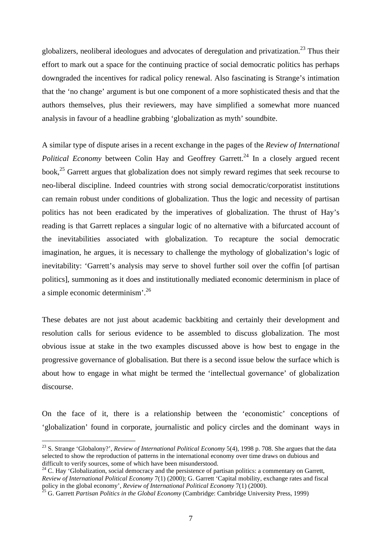globalizers, neoliberal ideologues and advocates of deregulation and privatization.<sup>23</sup> Thus their effort to mark out a space for the continuing practice of social democratic politics has perhaps downgraded the incentives for radical policy renewal. Also fascinating is Strange's intimation that the 'no change' argument is but one component of a more sophisticated thesis and that the authors themselves, plus their reviewers, may have simplified a somewhat more nuanced analysis in favour of a headline grabbing 'globalization as myth' soundbite.

A similar type of dispute arises in a recent exchange in the pages of the *Review of International Political Economy* between Colin Hay and Geoffrey Garrett.<sup>24</sup> In a closely argued recent book,<sup>25</sup> Garrett argues that globalization does not simply reward regimes that seek recourse to neo-liberal discipline. Indeed countries with strong social democratic/corporatist institutions can remain robust under conditions of globalization. Thus the logic and necessity of partisan politics has not been eradicated by the imperatives of globalization. The thrust of Hay's reading is that Garrett replaces a singular logic of no alternative with a bifurcated account of the inevitabilities associated with globalization. To recapture the social democratic imagination, he argues, it is necessary to challenge the mythology of globalization's logic of inevitability: 'Garrett's analysis may serve to shovel further soil over the coffin [of partisan politics], summoning as it does and institutionally mediated economic determinism in place of a simple economic determinism'.<sup>26</sup>

These debates are not just about academic backbiting and certainly their development and resolution calls for serious evidence to be assembled to discuss globalization. The most obvious issue at stake in the two examples discussed above is how best to engage in the progressive governance of globalisation. But there is a second issue below the surface which is about how to engage in what might be termed the 'intellectual governance' of globalization discourse.

On the face of it, there is a relationship between the 'economistic' conceptions of 'globalization' found in corporate, journalistic and policy circles and the dominant ways in

<sup>23</sup> S. Strange 'Globalony?', *Review of International Political Economy* 5(4), 1998 p. 708. She argues that the data selected to show the reproduction of patterns in the international economy over time draws on dubious and difficult to verify sources, some of which have been misunderstood.

 $24$  C. Hay 'Globalization, social democracy and the persistence of partisan politics: a commentary on Garrett, *Review of International Political Economy* 7(1) (2000); G. Garrett 'Capital mobility, exchange rates and fiscal policy in the global economy', *Review of International Political Economy* 7(1) (2000).

<sup>25</sup> G. Garrett *Partisan Politics in the Global Economy* (Cambridge: Cambridge University Press, 1999)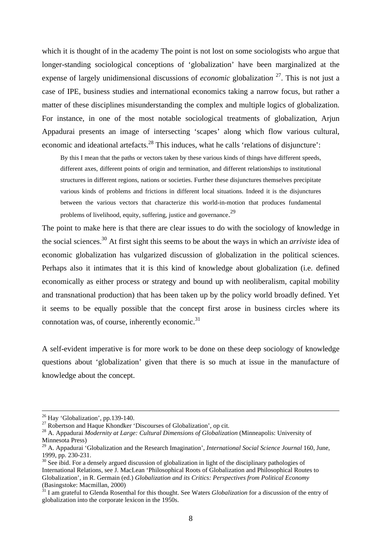which it is thought of in the academy The point is not lost on some sociologists who argue that longer-standing sociological conceptions of 'globalization' have been marginalized at the expense of largely unidimensional discussions of *economic* globalizatio*n* <sup>27</sup>. This is not just a case of IPE, business studies and international economics taking a narrow focus, but rather a matter of these disciplines misunderstanding the complex and multiple logics of globalization. For instance, in one of the most notable sociological treatments of globalization, Arjun Appadurai presents an image of intersecting 'scapes' along which flow various cultural, economic and ideational artefacts.<sup>28</sup> This induces, what he calls 'relations of disjuncture':

By this I mean that the paths or vectors taken by these various kinds of things have different speeds, different axes, different points of origin and termination, and different relationships to institutional structures in different regions, nations or societies. Further these disjunctures themselves precipitate various kinds of problems and frictions in different local situations. Indeed it is the disjunctures between the various vectors that characterize this world-in-motion that produces fundamental problems of livelihood, equity, suffering, justice and governance.<sup>29</sup>

The point to make here is that there are clear issues to do with the sociology of knowledge in the social sciences.<sup>30</sup> At first sight this seems to be about the ways in which an *arriviste* idea of economic globalization has vulgarized discussion of globalization in the political sciences. Perhaps also it intimates that it is this kind of knowledge about globalization (i.e. defined economically as either process or strategy and bound up with neoliberalism, capital mobility and transnational production) that has been taken up by the policy world broadly defined. Yet it seems to be equally possible that the concept first arose in business circles where its connotation was, of course, inherently economic. $31$ 

A self-evident imperative is for more work to be done on these deep sociology of knowledge questions about 'globalization' given that there is so much at issue in the manufacture of knowledge about the concept.

 $26$  Hay 'Globalization', pp.139-140.

 $^{27}$  Robertson and Haque Khondker 'Discourses of Globalization', op cit.

<sup>28</sup> A. Appadurai *Modernity at Large: Cultural Dimensions of Globalization* (Minneapolis: University of Minnesota Press)

<sup>29</sup> A. Appadurai 'Globalization and the Research Imagination', *International Social Science Journal* 160, June, 1999, pp. 230-231.

 $30$  See ibid. For a densely argued discussion of globalization in light of the disciplinary pathologies of International Relations, see J. MacLean 'Philosophical Roots of Globalization and Philosophical Routes to Globalization', in R. Germain (ed.) *Globalization and its Critics: Perspectives from Political Economy* (Basingstoke: Macmillan, 2000)

<sup>&</sup>lt;sup>31</sup> I am grateful to Glenda Rosenthal for this thought. See Waters *Globalization* for a discussion of the entry of globalization into the corporate lexicon in the 1950s.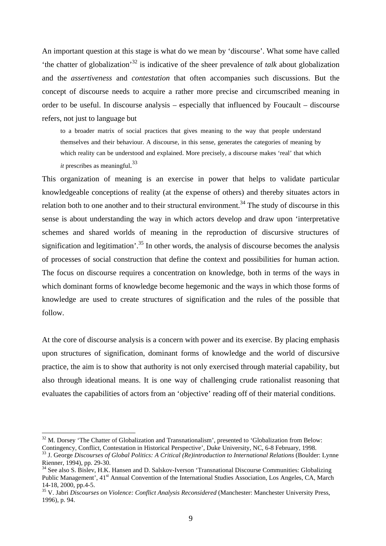An important question at this stage is what do we mean by 'discourse'. What some have called 'the chatter of globalization'<sup>32</sup> is indicative of the sheer prevalence of *talk* about globalization and the *assertiveness* and *contestation* that often accompanies such discussions. But the concept of discourse needs to acquire a rather more precise and circumscribed meaning in order to be useful. In discourse analysis – especially that influenced by Foucault – discourse refers, not just to language but

to a broader matrix of social practices that gives meaning to the way that people understand themselves and their behaviour. A discourse, in this sense, generates the categories of meaning by which reality can be understood and explained. More precisely, a discourse makes 'real' that which *it* prescribes as meaningful.<sup>33</sup>

This organization of meaning is an exercise in power that helps to validate particular knowledgeable conceptions of reality (at the expense of others) and thereby situates actors in relation both to one another and to their structural environment.<sup>34</sup> The study of discourse in this sense is about understanding the way in which actors develop and draw upon 'interpretative schemes and shared worlds of meaning in the reproduction of discursive structures of signification and legitimation'.<sup>35</sup> In other words, the analysis of discourse becomes the analysis of processes of social construction that define the context and possibilities for human action. The focus on discourse requires a concentration on knowledge, both in terms of the ways in which dominant forms of knowledge become hegemonic and the ways in which those forms of knowledge are used to create structures of signification and the rules of the possible that follow.

At the core of discourse analysis is a concern with power and its exercise. By placing emphasis upon structures of signification, dominant forms of knowledge and the world of discursive practice, the aim is to show that authority is not only exercised through material capability, but also through ideational means. It is one way of challenging crude rationalist reasoning that evaluates the capabilities of actors from an 'objective' reading off of their material conditions.

 $32$  M. Dorsey 'The Chatter of Globalization and Transnationalism', presented to 'Globalization from Below: Contingency, Conflict, Contestation in Historical Perspective', Duke University, NC, 6-8 February, 1998.

<sup>33</sup> J. George *Discourses of Global Politics: A Critical (Re)introduction to International Relations* (Boulder: Lynne Rienner, 1994), pp. 29-30.

<sup>&</sup>lt;sup>34</sup> See also S. Bislev, H.K. Hansen and D. Salskov-Iverson 'Transnational Discourse Communities: Globalizing Public Management', 41<sup>st</sup> Annual Convention of the International Studies Association, Los Angeles, CA, March 14-18, 2000, pp.4-5.

<sup>35</sup> V. Jabri *Discourses on Violence: Conflict Analysis Reconsidered* (Manchester: Manchester University Press, 1996), p. 94.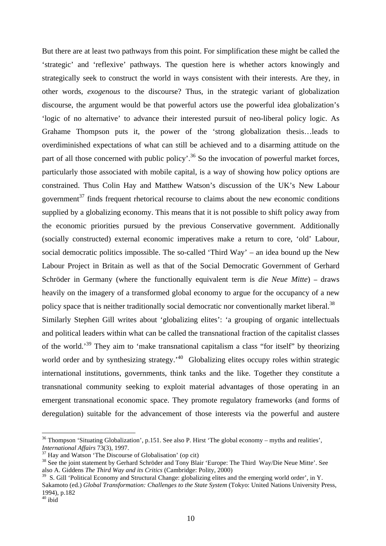But there are at least two pathways from this point. For simplification these might be called the 'strategic' and 'reflexive' pathways. The question here is whether actors knowingly and strategically seek to construct the world in ways consistent with their interests. Are they, in other words, *exogenous* to the discourse? Thus, in the strategic variant of globalization discourse, the argument would be that powerful actors use the powerful idea globalization's 'logic of no alternative' to advance their interested pursuit of neo-liberal policy logic. As Grahame Thompson puts it, the power of the 'strong globalization thesis…leads to overdiminished expectations of what can still be achieved and to a disarming attitude on the part of all those concerned with public policy'.<sup>36</sup> So the invocation of powerful market forces, particularly those associated with mobile capital, is a way of showing how policy options are constrained. Thus Colin Hay and Matthew Watson's discussion of the UK's New Labour government<sup>37</sup> finds frequent rhetorical recourse to claims about the new economic conditions supplied by a globalizing economy. This means that it is not possible to shift policy away from the economic priorities pursued by the previous Conservative government. Additionally (socially constructed) external economic imperatives make a return to core, 'old' Labour, social democratic politics impossible. The so-called 'Third Way' – an idea bound up the New Labour Project in Britain as well as that of the Social Democratic Government of Gerhard Schröder in Germany (where the functionally equivalent term is *die Neue Mitte*) – draws heavily on the imagery of a transformed global economy to argue for the occupancy of a new policy space that is neither traditionally social democratic nor conventionally market liberal.<sup>38</sup> Similarly Stephen Gill writes about 'globalizing elites': 'a grouping of organic intellectuals and political leaders within what can be called the transnational fraction of the capitalist classes of the world.<sup>39</sup> They aim to 'make transnational capitalism a class "for itself" by theorizing world order and by synthesizing strategy.<sup> $40$ </sup> Globalizing elites occupy roles within strategic

international institutions, governments, think tanks and the like. Together they constitute a transnational community seeking to exploit material advantages of those operating in an emergent transnational economic space. They promote regulatory frameworks (and forms of deregulation) suitable for the advancement of those interests via the powerful and austere

 $36$  Thompson 'Situating Globalization', p.151. See also P. Hirst 'The global economy – myths and realities', *International Affairs* 73(3), 1997.

<sup>&</sup>lt;sup>37</sup> Hay and Watson 'The Discourse of Globalisation' (op cit)

<sup>&</sup>lt;sup>38</sup> See the joint statement by Gerhard Schröder and Tony Blair 'Europe: The Third Way/Die Neue Mitte'. See also A. Giddens *The Third Way and its Critics* (Cambridge: Polity, 2000)

<sup>&</sup>lt;sup>39</sup> S. Gill 'Political Economy and Structural Change: globalizing elites and the emerging world order', in Y. Sakamoto (ed.) *Global Transformation: Challenges to the State System* (Tokyo: United Nations University Press, 1994), p.182

 $40$  ibid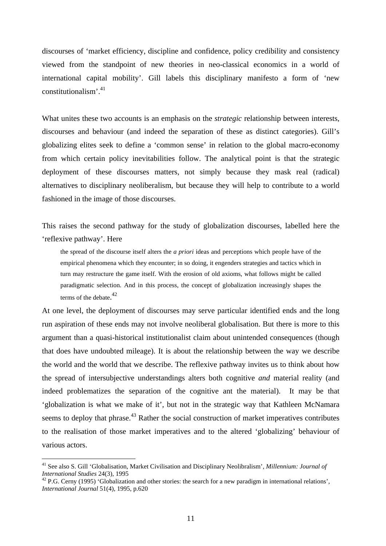discourses of 'market efficiency, discipline and confidence, policy credibility and consistency viewed from the standpoint of new theories in neo-classical economics in a world of international capital mobility'. Gill labels this disciplinary manifesto a form of 'new constitutionalism'.<sup>41</sup>

What unites these two accounts is an emphasis on the *strategic* relationship between interests, discourses and behaviour (and indeed the separation of these as distinct categories). Gill's globalizing elites seek to define a 'common sense' in relation to the global macro-economy from which certain policy inevitabilities follow. The analytical point is that the strategic deployment of these discourses matters, not simply because they mask real (radical) alternatives to disciplinary neoliberalism, but because they will help to contribute to a world fashioned in the image of those discourses.

This raises the second pathway for the study of globalization discourses, labelled here the 'reflexive pathway'. Here

the spread of the discourse itself alters the *a priori* ideas and perceptions which people have of the empirical phenomena which they encounter; in so doing, it engenders strategies and tactics which in turn may restructure the game itself. With the erosion of old axioms, what follows might be called paradigmatic selection. And in this process, the concept of globalization increasingly shapes the terms of the debate. 42

At one level, the deployment of discourses may serve particular identified ends and the long run aspiration of these ends may not involve neoliberal globalisation. But there is more to this argument than a quasi-historical institutionalist claim about unintended consequences (though that does have undoubted mileage). It is about the relationship between the way we describe the world and the world that we describe. The reflexive pathway invites us to think about how the spread of intersubjective understandings alters both cognitive *and* material reality (and indeed problematizes the separation of the cognitive ant the material). It may be that 'globalization is what we make of it', but not in the strategic way that Kathleen McNamara seems to deploy that phrase.<sup>43</sup> Rather the social construction of market imperatives contributes to the realisation of those market imperatives and to the altered 'globalizing' behaviour of various actors.

<sup>41</sup> See also S. Gill 'Globalisation, Market Civilisation and Disciplinary Neolibralism', *Millennium: Journal of International Studies* 24(3), 1995

<sup>&</sup>lt;sup>42</sup> P.G. Cerny (1995) 'Globalization and other stories: the search for a new paradigm in international relations'. *International Journal* 51(4), 1995, p.620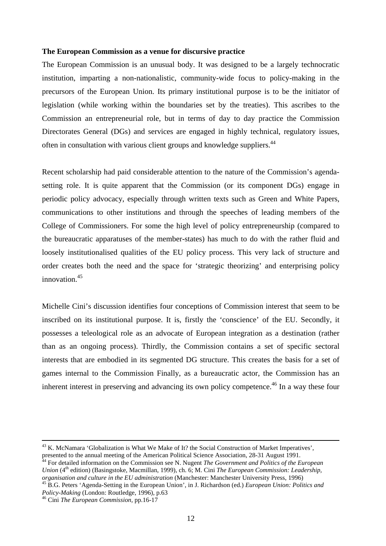### **The European Commission as a venue for discursive practice**

The European Commission is an unusual body. It was designed to be a largely technocratic institution, imparting a non-nationalistic, community-wide focus to policy-making in the precursors of the European Union. Its primary institutional purpose is to be the initiator of legislation (while working within the boundaries set by the treaties). This ascribes to the Commission an entrepreneurial role, but in terms of day to day practice the Commission Directorates General (DGs) and services are engaged in highly technical, regulatory issues, often in consultation with various client groups and knowledge suppliers.<sup>44</sup>

Recent scholarship had paid considerable attention to the nature of the Commission's agendasetting role. It is quite apparent that the Commission (or its component DGs) engage in periodic policy advocacy, especially through written texts such as Green and White Papers, communications to other institutions and through the speeches of leading members of the College of Commissioners. For some the high level of policy entrepreneurship (compared to the bureaucratic apparatuses of the member-states) has much to do with the rather fluid and loosely institutionalised qualities of the EU policy process. This very lack of structure and order creates both the need and the space for 'strategic theorizing' and enterprising policy innovation.<sup>45</sup>

Michelle Cini's discussion identifies four conceptions of Commission interest that seem to be inscribed on its institutional purpose. It is, firstly the 'conscience' of the EU. Secondly, it possesses a teleological role as an advocate of European integration as a destination (rather than as an ongoing process). Thirdly, the Commission contains a set of specific sectoral interests that are embodied in its segmented DG structure. This creates the basis for a set of games internal to the Commission Finally, as a bureaucratic actor, the Commission has an inherent interest in preserving and advancing its own policy competence.<sup>46</sup> In a way these four

<sup>&</sup>lt;sup>43</sup> K. McNamara 'Globalization is What We Make of It? the Social Construction of Market Imperatives', presented to the annual meeting of the American Political Science Association, 28-31 August 1991.

<sup>&</sup>lt;sup>44</sup> For detailed information on the Commission see N. Nugent *The Government and Politics of the European Union* (4<sup>th</sup> edition) (Basingstoke, Macmillan, 1999), ch. 6; M. Cini *The European Commission: Leadership*, *organisation and culture in the EU administration* (Manchester: Manchester University Press, 1996)

<sup>45</sup> B.G. Peters 'Agenda-Setting in the European Union', in J. Richardson (ed.) *European Union: Politics and Policy-Making* (London: Routledge, 1996), p.63

<sup>46</sup> Cini *The European Commission,* pp.16-17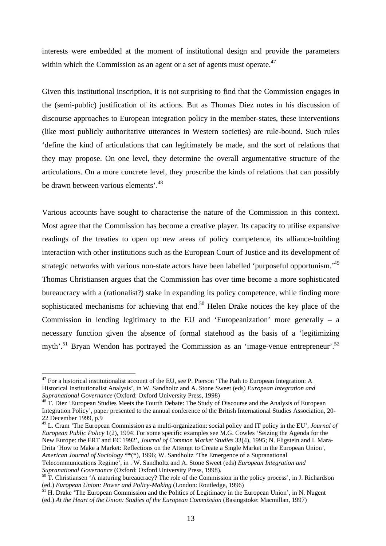interests were embedded at the moment of institutional design and provide the parameters within which the Commission as an agent or a set of agents must operate.<sup>47</sup>

Given this institutional inscription, it is not surprising to find that the Commission engages in the (semi-public) justification of its actions. But as Thomas Diez notes in his discussion of discourse approaches to European integration policy in the member-states, these interventions (like most publicly authoritative utterances in Western societies) are rule-bound. Such rules 'define the kind of articulations that can legitimately be made, and the sort of relations that they may propose. On one level, they determine the overall argumentative structure of the articulations. On a more concrete level, they proscribe the kinds of relations that can possibly be drawn between various elements'.<sup>48</sup>

Various accounts have sought to characterise the nature of the Commission in this context. Most agree that the Commission has become a creative player. Its capacity to utilise expansive readings of the treaties to open up new areas of policy competence, its alliance-building interaction with other institutions such as the European Court of Justice and its development of strategic networks with various non-state actors have been labelled 'purposeful opportunism.'<sup>49</sup> Thomas Christiansen argues that the Commission has over time become a more sophisticated bureaucracy with a (rationalist?) stake in expanding its policy competence, while finding more sophisticated mechanisms for achieving that end.<sup>50</sup> Helen Drake notices the key place of the Commission in lending legitimacy to the EU and 'Europeanization' more generally – a necessary function given the absence of formal statehood as the basis of a 'legitimizing myth'.<sup>51</sup> Bryan Wendon has portrayed the Commission as an 'image-venue entrepreneur'.<sup>52</sup>

 $\overline{a}$ 

<sup>49</sup> L. Cram 'The European Commission as a multi-organization: social policy and IT policy in the EU', *Journal of European Public Policy* 1(2), 1994. For some specific examples see M.G. Cowles 'Seizing the Agenda for the New Europe: the ERT and EC 1992', *Journal of Common Market Studies* 33(4), 1995; N. Fligstein and I. Mara-Drita 'How to Make a Market: Reflections on the Attempt to Create a Single Market in the European Union', *American Journal of Sociology* \*\*(\*), 1996; W. Sandholtz 'The Emergence of a Supranational Telecommunications Regime', in . W. Sandholtz and A. Stone Sweet (eds) *European Integration and Supranational Governance* (Oxford: Oxford University Press, 1998).

 $47$  For a historical institutionalist account of the EU, see P. Pierson 'The Path to European Integration: A Historical Institutionalist Analysis', in W. Sandholtz and A. Stone Sweet (eds) *European Integration and Supranational Governance* (Oxford: Oxford University Press, 1998)

<sup>&</sup>lt;sup>48</sup> T. Diez 'European Studies Meets the Fourth Debate: The Study of Discourse and the Analysis of European Integration Policy', paper presented to the annual conference of the British International Studies Association, 20- 22 December 1999, p.9

 $50$  T. Christiansen 'A maturing bureaucracy? The role of the Commission in the policy process', in J. Richardson (ed.) *European Union: Power and Policy-Making* (London: Routledge, 1996)

<sup>&</sup>lt;sup>51</sup> H. Drake 'The European Commission and the Politics of Legitimacy in the European Union', in N. Nugent (ed.) *At the Heart of the Union: Studies of the European Commission* (Basingstoke: Macmillan, 1997)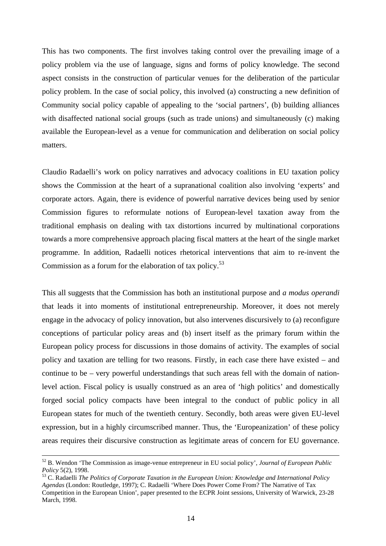This has two components. The first involves taking control over the prevailing image of a policy problem via the use of language, signs and forms of policy knowledge. The second aspect consists in the construction of particular venues for the deliberation of the particular policy problem. In the case of social policy, this involved (a) constructing a new definition of Community social policy capable of appealing to the 'social partners', (b) building alliances with disaffected national social groups (such as trade unions) and simultaneously (c) making available the European-level as a venue for communication and deliberation on social policy matters.

Claudio Radaelli's work on policy narratives and advocacy coalitions in EU taxation policy shows the Commission at the heart of a supranational coalition also involving 'experts' and corporate actors. Again, there is evidence of powerful narrative devices being used by senior Commission figures to reformulate notions of European-level taxation away from the traditional emphasis on dealing with tax distortions incurred by multinational corporations towards a more comprehensive approach placing fiscal matters at the heart of the single market programme. In addition, Radaelli notices rhetorical interventions that aim to re-invent the Commission as a forum for the elaboration of tax policy.<sup>53</sup>

This all suggests that the Commission has both an institutional purpose and *a modus operandi* that leads it into moments of institutional entrepreneurship. Moreover, it does not merely engage in the advocacy of policy innovation, but also intervenes discursively to (a) reconfigure conceptions of particular policy areas and (b) insert itself as the primary forum within the European policy process for discussions in those domains of activity. The examples of social policy and taxation are telling for two reasons. Firstly, in each case there have existed – and continue to be – very powerful understandings that such areas fell with the domain of nationlevel action. Fiscal policy is usually construed as an area of 'high politics' and domestically forged social policy compacts have been integral to the conduct of public policy in all European states for much of the twentieth century. Secondly, both areas were given EU-level expression, but in a highly circumscribed manner. Thus, the 'Europeanization' of these policy areas requires their discursive construction as legitimate areas of concern for EU governance.

<sup>52</sup> B. Wendon 'The Commission as image-venue entrepreneur in EU social policy', *Journal of European Public Policy* 5(2), 1998.

<sup>53</sup> C. Radaelli *The Politics of Corporate Taxation in the European Union: Knowledge and International Policy Agendas* (London: Routledge, 1997); C. Radaelli 'Where Does Power Come From? The Narrative of Tax Competition in the European Union', paper presented to the ECPR Joint sessions, University of Warwick, 23-28 March, 1998.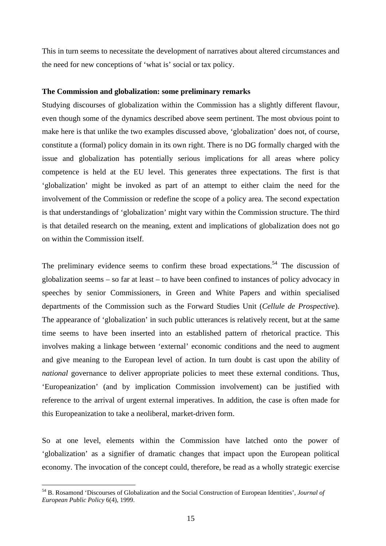This in turn seems to necessitate the development of narratives about altered circumstances and the need for new conceptions of 'what is' social or tax policy.

### **The Commission and globalization: some preliminary remarks**

Studying discourses of globalization within the Commission has a slightly different flavour, even though some of the dynamics described above seem pertinent. The most obvious point to make here is that unlike the two examples discussed above, 'globalization' does not, of course, constitute a (formal) policy domain in its own right. There is no DG formally charged with the issue and globalization has potentially serious implications for all areas where policy competence is held at the EU level. This generates three expectations. The first is that 'globalization' might be invoked as part of an attempt to either claim the need for the involvement of the Commission or redefine the scope of a policy area. The second expectation is that understandings of 'globalization' might vary within the Commission structure. The third is that detailed research on the meaning, extent and implications of globalization does not go on within the Commission itself.

The preliminary evidence seems to confirm these broad expectations.<sup>54</sup> The discussion of globalization seems – so far at least – to have been confined to instances of policy advocacy in speeches by senior Commissioners, in Green and White Papers and within specialised departments of the Commission such as the Forward Studies Unit (*Cellule de Prospective*). The appearance of 'globalization' in such public utterances is relatively recent, but at the same time seems to have been inserted into an established pattern of rhetorical practice. This involves making a linkage between 'external' economic conditions and the need to augment and give meaning to the European level of action. In turn doubt is cast upon the ability of *national* governance to deliver appropriate policies to meet these external conditions. Thus, 'Europeanization' (and by implication Commission involvement) can be justified with reference to the arrival of urgent external imperatives. In addition, the case is often made for this Europeanization to take a neoliberal, market-driven form.

So at one level, elements within the Commission have latched onto the power of 'globalization' as a signifier of dramatic changes that impact upon the European political economy. The invocation of the concept could, therefore, be read as a wholly strategic exercise

<sup>54</sup> B. Rosamond 'Discourses of Globalization and the Social Construction of European Identities', *Journal of European Public Policy* 6(4), 1999.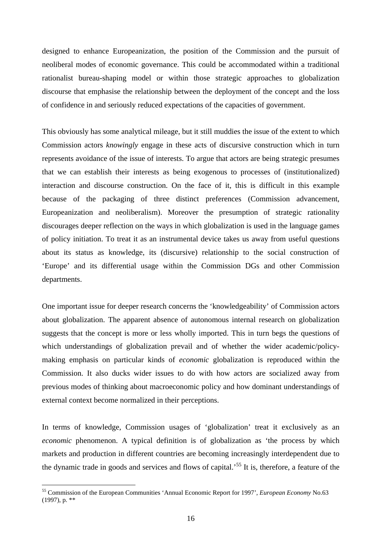designed to enhance Europeanization, the position of the Commission and the pursuit of neoliberal modes of economic governance. This could be accommodated within a traditional rationalist bureau-shaping model or within those strategic approaches to globalization discourse that emphasise the relationship between the deployment of the concept and the loss of confidence in and seriously reduced expectations of the capacities of government.

This obviously has some analytical mileage, but it still muddies the issue of the extent to which Commission actors *knowingly* engage in these acts of discursive construction which in turn represents avoidance of the issue of interests. To argue that actors are being strategic presumes that we can establish their interests as being exogenous to processes of (institutionalized) interaction and discourse construction. On the face of it, this is difficult in this example because of the packaging of three distinct preferences (Commission advancement, Europeanization and neoliberalism). Moreover the presumption of strategic rationality discourages deeper reflection on the ways in which globalization is used in the language games of policy initiation. To treat it as an instrumental device takes us away from useful questions about its status as knowledge, its (discursive) relationship to the social construction of 'Europe' and its differential usage within the Commission DGs and other Commission departments.

One important issue for deeper research concerns the 'knowledgeability' of Commission actors about globalization. The apparent absence of autonomous internal research on globalization suggests that the concept is more or less wholly imported. This in turn begs the questions of which understandings of globalization prevail and of whether the wider academic/policymaking emphasis on particular kinds of *economic* globalization is reproduced within the Commission. It also ducks wider issues to do with how actors are socialized away from previous modes of thinking about macroeconomic policy and how dominant understandings of external context become normalized in their perceptions.

In terms of knowledge, Commission usages of 'globalization' treat it exclusively as an *economic* phenomenon. A typical definition is of globalization as 'the process by which markets and production in different countries are becoming increasingly interdependent due to the dynamic trade in goods and services and flows of capital.'<sup>55</sup> It is, therefore, a feature of the

<sup>55</sup> Commission of the European Communities 'Annual Economic Report for 1997', *European Economy* No.63 (1997), p. \*\*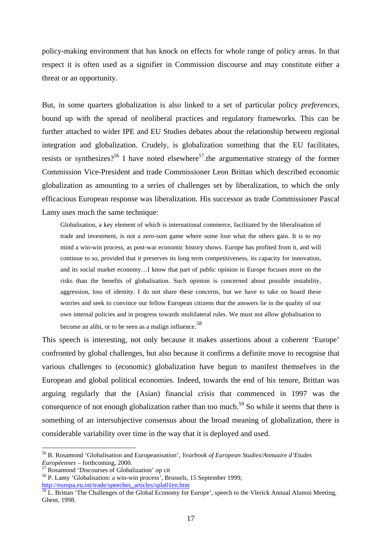policy-making environment that has knock on effects for whole range of policy areas. In that respect it is often used as a signifier in Commission discourse and may constitute either a threat or an opportunity.

But, in some quarters globalization is also linked to a set of particular policy *preferences*, bound up with the spread of neoliberal practices and regulatory frameworks. This can be further attached to wider IPE and EU Studies debates about the relationship between regional integration and globalization. Crudely, is globalization something that the EU facilitates, resists or synthesizes?<sup>56</sup> I have noted elsewhere<sup>57</sup>, the argumentative strategy of the former Commission Vice-President and trade Commissioner Leon Brittan which described economic globalization as amounting to a series of challenges set by liberalization, to which the only efficacious European response was liberalization. His successor as trade Commissioner Pascal Lamy uses much the same technique:

Globalisation, a key element of which is international commerce, facilitated by the liberalisation of trade and investment, is not a zero-sum game where some lose what the others gain. It is to my mind a win-win process, as post-war economic history shows. Europe has profited from it, and will continue to so, provided that it preserves its long term competitiveness, its capacity for innovation, and its social market economy…I know that part of public opinion in Europe focuses more on the risks than the benefits of globalisation. Such opinion is concerned about possible instability, aggression, loss of identity. I do not share these concerns, but we have to take on board these worries and seek to convince our fellow European citizens that the answers lie in the quality of our own internal policies and in progress towards multilateral rules. We must not allow globalisation to become an alibi, or to be seen as a malign influence.<sup>58</sup>

This speech is interesting, not only because it makes assertions about a coherent 'Europe' confronted by global challenges, but also because it confirms a definite move to recognise that various challenges to (economic) globalization have begun to manifest themselves in the European and global political economies. Indeed, towards the end of his tenure, Brittan was arguing regularly that the (Asian) financial crisis that commenced in 1997 was the consequence of not enough globalization rather than too much.<sup>59</sup> So while it seems that there is something of an intersubjective consensus about the broad meaning of globalization, there is considerable variability over time in the way that it is deployed and used.

<sup>56</sup> B. Rosamond 'Globalisation and Europeanisation', *Yearbook of European Studies/Annuaire d'Etudes Européennes* – forthcoming, 2000.

<sup>57</sup> Rosamond 'Discourses of Globalization' op cit

<sup>58</sup> P. Lamy 'Globalisation: a win-win process', Brussels, 15 September 1999, http://europa.eu.int/trade/speeches\_articles/spla01en.htm

 $^{59}$  L. Brittan 'The Challenges of the Global Economy for Europe', speech to the Vlerick Annual Alumni Meeting, Ghent, 1998.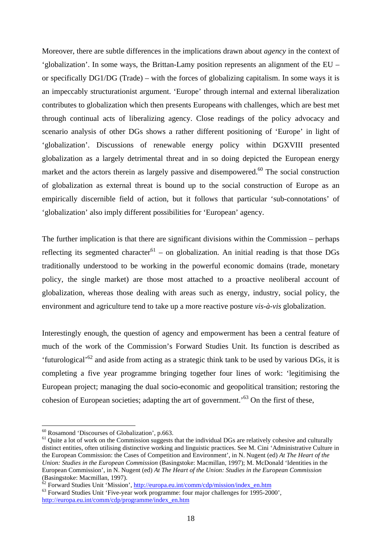Moreover, there are subtle differences in the implications drawn about *agency* in the context of 'globalization'. In some ways, the Brittan-Lamy position represents an alignment of the EU – or specifically DG1/DG (Trade) – with the forces of globalizing capitalism. In some ways it is an impeccably structurationist argument. 'Europe' through internal and external liberalization contributes to globalization which then presents Europeans with challenges, which are best met through continual acts of liberalizing agency. Close readings of the policy advocacy and scenario analysis of other DGs shows a rather different positioning of 'Europe' in light of 'globalization'. Discussions of renewable energy policy within DGXVIII presented globalization as a largely detrimental threat and in so doing depicted the European energy market and the actors therein as largely passive and disempowered.<sup>60</sup> The social construction of globalization as external threat is bound up to the social construction of Europe as an empirically discernible field of action, but it follows that particular 'sub-connotations' of 'globalization' also imply different possibilities for 'European' agency.

The further implication is that there are significant divisions within the Commission – perhaps reflecting its segmented character<sup>61</sup> – on globalization. An initial reading is that those DGs traditionally understood to be working in the powerful economic domains (trade, monetary policy, the single market) are those most attached to a proactive neoliberal account of globalization, whereas those dealing with areas such as energy, industry, social policy, the environment and agriculture tend to take up a more reactive posture *vis-à-vis* globalization.

Interestingly enough, the question of agency and empowerment has been a central feature of much of the work of the Commission's Forward Studies Unit. Its function is described as 'futurological'<sup>62</sup> and aside from acting as a strategic think tank to be used by various DGs, it is completing a five year programme bringing together four lines of work: 'legitimising the European project; managing the dual socio-economic and geopolitical transition; restoring the cohesion of European societies; adapting the art of government.<sup>53</sup> On the first of these,

<sup>60</sup> Rosamond 'Discourses of Globalization', p.663.

 $61$  Quite a lot of work on the Commission suggests that the individual DGs are relatively cohesive and culturally distinct entities, often utilising distinctive working and linguistic practices. See M. Cini 'Administrative Culture in the European Commission: the Cases of Competition and Environment', in N. Nugent (ed) *At The Heart of the Union: Studies in the European Commission* (Basingstoke: Macmillan, 1997); M. McDonald 'Identities in the European Commission', in N. Nugent (ed) *At The Heart of the Union: Studies in the European Commission* (Basingstoke: Macmillan, 1997).

 $\frac{\delta^2}{\delta^2}$  Forward Studies Unit 'Mission', http://europa.eu.int/comm/cdp/mission/index\_en.htm

<sup>&</sup>lt;sup>63</sup> Forward Studies Unit 'Five-year work programme: four major challenges for 1995-2000', http://europa.eu.int/comm/cdp/programme/index\_en.htm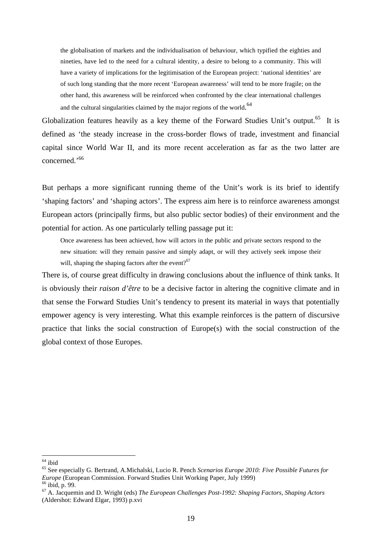the globalisation of markets and the individualisation of behaviour, which typified the eighties and nineties, have led to the need for a cultural identity, a desire to belong to a community. This will have a variety of implications for the legitimisation of the European project: 'national identities' are of such long standing that the more recent 'European awareness' will tend to be more fragile; on the other hand, this awareness will be reinforced when confronted by the clear international challenges and the cultural singularities claimed by the major regions of the world.<sup>64</sup>

Globalization features heavily as a key theme of the Forward Studies Unit's output.<sup>65</sup> It is defined as 'the steady increase in the cross-border flows of trade, investment and financial capital since World War II, and its more recent acceleration as far as the two latter are concerned.'<sup>66</sup>

But perhaps a more significant running theme of the Unit's work is its brief to identify 'shaping factors' and 'shaping actors'. The express aim here is to reinforce awareness amongst European actors (principally firms, but also public sector bodies) of their environment and the potential for action. As one particularly telling passage put it:

Once awareness has been achieved, how will actors in the public and private sectors respond to the new situation: will they remain passive and simply adapt, or will they actively seek impose their will, shaping the shaping factors after the event? $67$ 

There is, of course great difficulty in drawing conclusions about the influence of think tanks. It is obviously their *raison d'être* to be a decisive factor in altering the cognitive climate and in that sense the Forward Studies Unit's tendency to present its material in ways that potentially empower agency is very interesting. What this example reinforces is the pattern of discursive practice that links the social construction of Europe(s) with the social construction of the global context of those Europes.

 $64$  ibid

<sup>65</sup> See especially G. Bertrand, A.Michalski, Lucio R. Pench *Scenarios Europe 2010: Five Possible Futures for Europe* (European Commission. Forward Studies Unit Working Paper, July 1999)

 $66$  ibid, p. 99.

<sup>67</sup> A. Jacquemin and D. Wright (eds) *The European Challenges Post-1992: Shaping Factors, Shaping Actors* (Aldershot: Edward Elgar, 1993) p.xvi